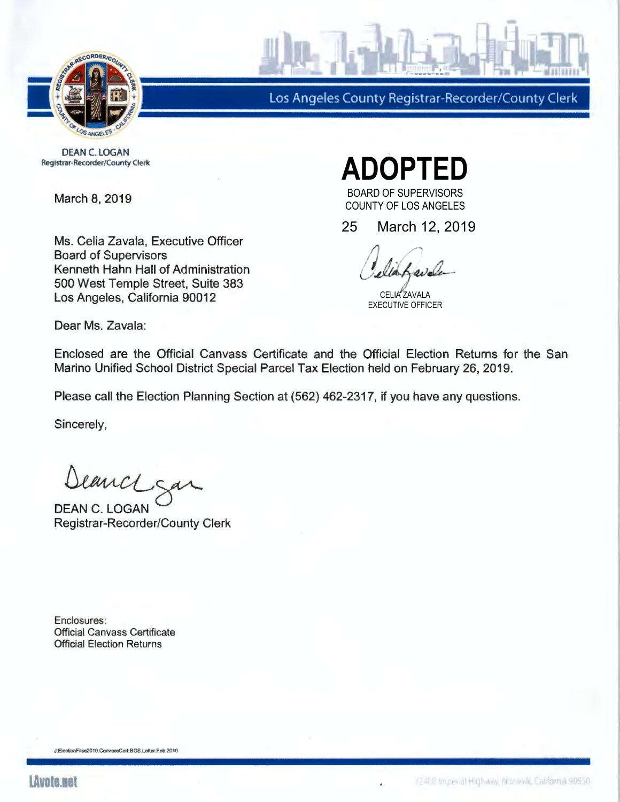

Los Angeles County Registrar-Recorder/County Clerk

DEAN C. LOGAN Registrar-Recorder/County Clerk

March 8, 2019

Ms. Celia Zavala, Executive Officer Board of Supervisors Kenneth Hahn Hall of Administration 500 West Temple Street, Suite 383 Los Angeles, California 90012

**ADOPTED**  BOARD OF SUPERVISORS

COUNTY OF LOS ANGELES

25 March 12, 2019

CELIA ZAVALA EXECUTIVE OFFICER

Dear Ms. Zavala:

Enclosed are the Official Canvass Certificate and the Official Election Returns for the San Marino Unified School District Special Parcel Tax Election held on February 26, 2019.

Please call the Election Planning Section at (562) 462-2317, if you have any questions.

Sincerely,

Deanch san

Registrar-Recorder/County Clerk

Enclosures: Official Canvass Certificate Official Election Returns

J:ElectionFites2019.CanvassCert.BOS.Letter.Feb.2019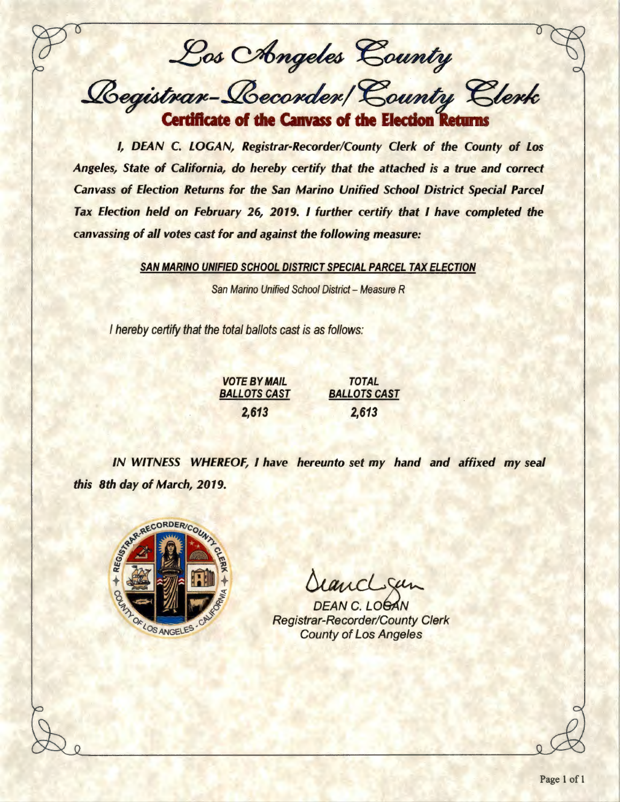Los Chngeles County

*Registrar-Recorder/County Clerk* **Certificate of the Canvass of the Election 1** 

I, DEAN C. LOGAN, Registrar-Recorder/County Clerk of the County of Los Angeles, State of California, do hereby certify that the attached is a true and correct Canvass of Election Returns for the San Marino Unified School District Special Parcel Tax Election held on February 26, 2019. I further certify that I have completed the canvassing of all votes cast for and against the following measure:

SAN MARINO UNIFIED SCHOOL DISTRICT SPECIAL PARCEL TAX ELECTION

San Marino Unified School District - Measure R

I hereby certify that the total ballots cast is as follows:

## VOTE BY MAIL BALLOTS CAST 2,613 TOTAL BALLOTS CAST 2,613

IN WITNESS WHEREOF, I have hereunto set my hand and affixed my seal this 8th day of March, 2019.



StancL Sen<br>DEAN C. LOGAN<br>Registrar-Recorder/County Clerk County of Los Angeles